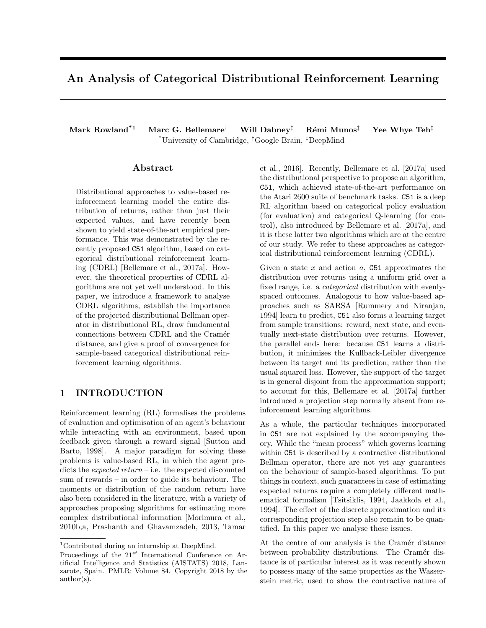# An Analysis of Categorical Distributional Reinforcement Learning

Mark Rowland<sup>\*1</sup> Marc G. Bellemare<sup>†</sup> Will Dabney<sup>‡</sup> Rémi Munos<sup>‡</sup> Yee Whye Teh<sup>‡</sup> \*University of Cambridge, †Google Brain, ‡DeepMind

## Abstract

Distributional approaches to value-based reinforcement learning model the entire distribution of returns, rather than just their expected values, and have recently been shown to yield state-of-the-art empirical performance. This was demonstrated by the recently proposed C51 algorithm, based on categorical distributional reinforcement learning (CDRL) [Bellemare et al., 2017a]. However, the theoretical properties of CDRL algorithms are not yet well understood. In this paper, we introduce a framework to analyse CDRL algorithms, establish the importance of the projected distributional Bellman operator in distributional RL, draw fundamental connections between CDRL and the Cramér distance, and give a proof of convergence for sample-based categorical distributional reinforcement learning algorithms.

## 1 INTRODUCTION

Reinforcement learning (RL) formalises the problems of evaluation and optimisation of an agent's behaviour while interacting with an environment, based upon feedback given through a reward signal [Sutton and Barto, 1998]. A major paradigm for solving these problems is value-based RL, in which the agent predicts the expected return – i.e. the expected discounted sum of rewards – in order to guide its behaviour. The moments or distribution of the random return have also been considered in the literature, with a variety of approaches proposing algorithms for estimating more complex distributional information [Morimura et al., 2010b,a, Prashanth and Ghavamzadeh, 2013, Tamar

et al., 2016]. Recently, Bellemare et al. [2017a] used the distributional perspective to propose an algorithm, C51, which achieved state-of-the-art performance on the Atari 2600 suite of benchmark tasks. C51 is a deep RL algorithm based on categorical policy evaluation (for evaluation) and categorical Q-learning (for control), also introduced by Bellemare et al. [2017a], and it is these latter two algorithms which are at the centre of our study. We refer to these approaches as categorical distributional reinforcement learning (CDRL).

Given a state  $x$  and action  $a$ , C51 approximates the distribution over returns using a uniform grid over a fixed range, i.e. a categorical distribution with evenlyspaced outcomes. Analogous to how value-based approaches such as SARSA [Rummery and Niranjan, 1994] learn to predict, C51 also forms a learning target from sample transitions: reward, next state, and eventually next-state distribution over returns. However, the parallel ends here: because C51 learns a distribution, it minimises the Kullback-Leibler divergence between its target and its prediction, rather than the usual squared loss. However, the support of the target is in general disjoint from the approximation support; to account for this, Bellemare et al. [2017a] further introduced a projection step normally absent from reinforcement learning algorithms.

As a whole, the particular techniques incorporated in C51 are not explained by the accompanying theory. While the "mean process" which governs learning within C51 is described by a contractive distributional Bellman operator, there are not yet any guarantees on the behaviour of sample-based algorithms. To put things in context, such guarantees in case of estimating expected returns require a completely different mathematical formalism [Tsitsiklis, 1994, Jaakkola et al., 1994]. The effect of the discrete approximation and its corresponding projection step also remain to be quantified. In this paper we analyse these issues.

At the centre of our analysis is the Cramér distance between probability distributions. The Cramér distance is of particular interest as it was recently shown to possess many of the same properties as the Wasserstein metric, used to show the contractive nature of

<sup>1</sup>Contributed during an internship at DeepMind.

Proceedings of the  $21^{st}$  International Conference on Artificial Intelligence and Statistics (AISTATS) 2018, Lanzarote, Spain. PMLR: Volume 84. Copyright 2018 by the author(s).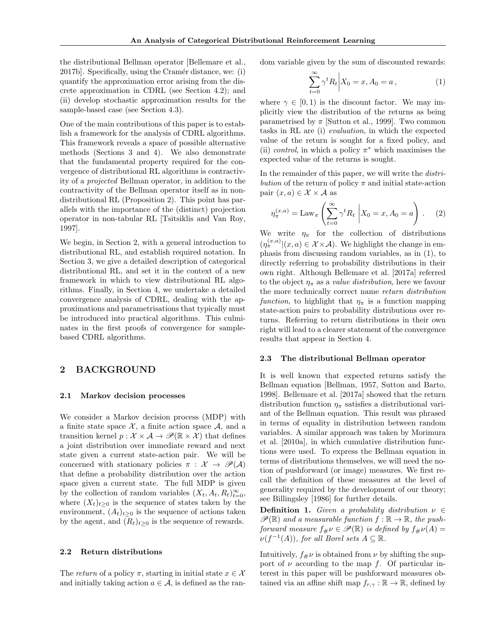the distributional Bellman operator [Bellemare et al., 2017b]. Specifically, using the Cramér distance, we: (i) quantify the approximation error arising from the discrete approximation in CDRL (see Section 4.2); and (ii) develop stochastic approximation results for the sample-based case (see Section 4.3).

One of the main contributions of this paper is to establish a framework for the analysis of CDRL algorithms. This framework reveals a space of possible alternative methods (Sections 3 and 4). We also demonstrate that the fundamental property required for the convergence of distributional RL algorithms is contractivity of a projected Bellman operator, in addition to the contractivity of the Bellman operator itself as in nondistributional RL (Proposition 2). This point has parallels with the importance of the (distinct) projection operator in non-tabular RL [Tsitsiklis and Van Roy, 1997].

We begin, in Section 2, with a general introduction to distributional RL, and establish required notation. In Section 3, we give a detailed description of categorical distributional RL, and set it in the context of a new framework in which to view distributional RL algorithms. Finally, in Section 4, we undertake a detailed convergence analysis of CDRL, dealing with the approximations and parametrisations that typically must be introduced into practical algorithms. This culminates in the first proofs of convergence for samplebased CDRL algorithms.

#### 2 BACKGROUND

#### 2.1 Markov decision processes

We consider a Markov decision process (MDP) with a finite state space  $X$ , a finite action space  $A$ , and a transition kernel  $p : \mathcal{X} \times \mathcal{A} \rightarrow \mathcal{P}(\mathbb{R} \times \mathcal{X})$  that defines a joint distribution over immediate reward and next state given a current state-action pair. We will be concerned with stationary policies  $\pi : \mathcal{X} \to \mathcal{P}(\mathcal{A})$ that define a probability distribution over the action space given a current state. The full MDP is given by the collection of random variables  $(X_t, A_t, R_t)_{t=0}^{\infty}$ , where  $(X_t)_{t>0}$  is the sequence of states taken by the environment,  $(A_t)_{t>0}$  is the sequence of actions taken by the agent, and  $(R_t)_{t>0}$  is the sequence of rewards.

#### 2.2 Return distributions

The return of a policy  $\pi$ , starting in initial state  $x \in \mathcal{X}$ and initially taking action  $a \in \mathcal{A}$ , is defined as the random variable given by the sum of discounted rewards:

$$
\sum_{t=0}^{\infty} \gamma^t R_t \bigg| X_0 = x, A_0 = a \,, \tag{1}
$$

where  $\gamma \in [0, 1)$  is the discount factor. We may implicitly view the distribution of the returns as being parametrised by  $\pi$  [Sutton et al., 1999]. Two common tasks in RL are (i) evaluation, in which the expected value of the return is sought for a fixed policy, and (ii) *control*, in which a policy  $\pi^*$  which maximises the expected value of the returns is sought.

In the remainder of this paper, we will write the *distri*bution of the return of policy  $\pi$  and initial state-action pair  $(x, a) \in \mathcal{X} \times \mathcal{A}$  as

$$
\eta_{\pi}^{(x,a)} = \text{Law}_{\pi} \left( \sum_{t=0}^{\infty} \gamma^t R_t \middle| X_0 = x, A_0 = a \right). \tag{2}
$$

We write  $\eta_{\pi}$  for the collection of distributions  $(\eta_{\pi}^{(x,a)}|(x,a) \in \mathcal{X} \times \mathcal{A})$ . We highlight the change in emphasis from discussing random variables, as in (1), to directly referring to probability distributions in their own right. Although Bellemare et al. [2017a] referred to the object  $\eta_{\pi}$  as a *value distribution*, here we favour the more technically correct name return distribution function, to highlight that  $\eta_{\pi}$  is a function mapping state-action pairs to probability distributions over returns. Referring to return distributions in their own right will lead to a clearer statement of the convergence results that appear in Section 4.

#### 2.3 The distributional Bellman operator

It is well known that expected returns satisfy the Bellman equation [Bellman, 1957, Sutton and Barto, 1998]. Bellemare et al. [2017a] showed that the return distribution function  $\eta_{\pi}$  satisfies a distributional variant of the Bellman equation. This result was phrased in terms of equality in distribution between random variables. A similar approach was taken by Morimura et al. [2010a], in which cumulative distribution functions were used. To express the Bellman equation in terms of distributions themselves, we will need the notion of pushforward (or image) measures. We first recall the definition of these measures at the level of generality required by the development of our theory; see Billingsley [1986] for further details.

**Definition 1.** Given a probability distribution  $\nu \in$  $\mathscr{P}(\mathbb{R})$  and a measurable function  $f : \mathbb{R} \to \mathbb{R}$ , the pushforward measure  $f_{\#}\nu \in \mathscr{P}(\mathbb{R})$  is defined by  $f_{\#}\nu(A) =$  $\nu(f^{-1}(A)),$  for all Borel sets  $A \subseteq \mathbb{R}$ .

Intuitively,  $f_{\mu\nu}$  is obtained from  $\nu$  by shifting the support of  $\nu$  according to the map f. Of particular interest in this paper will be pushforward measures obtained via an affine shift map  $f_{r,\gamma} : \mathbb{R} \to \mathbb{R}$ , defined by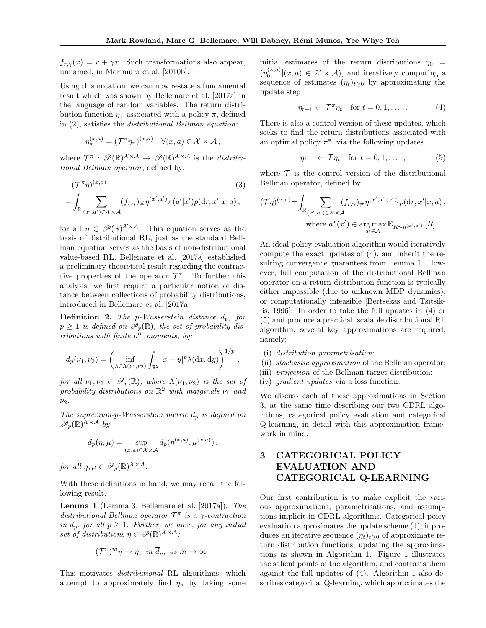$f_{r,\gamma}(x) = r + \gamma x$ . Such transformations also appear, unnamed, in Morimura et al. [2010b].

Using this notation, we can now restate a fundamental result which was shown by Bellemare et al. [2017a] in the language of random variables. The return distribution function  $\eta_{\pi}$  associated with a policy  $\pi$ , defined in (2), satisfies the distributional Bellman equation:

$$
\eta_{\pi}^{(x,a)} = (\mathcal{T}^{\pi} \eta_{\pi})^{(x,a)} \quad \forall (x,a) \in \mathcal{X} \times \mathcal{A},
$$

where  $\mathcal{T}^{\pi}: \mathscr{P}(\mathbb{R})^{\mathcal{X} \times \mathcal{A}} \to \mathscr{P}(\mathbb{R})^{\mathcal{X} \times \mathcal{A}}$  is the distributional Bellman operator, defined by:

$$
(\mathcal{T}^{\pi}\eta)^{(x,a)}\n= \int_{\mathbb{R}} \sum_{(x',a')\in\mathcal{X}\times\mathcal{A}} (f_{r,\gamma})\#\eta^{(x',a')}\pi(a'|x')p(\mathrm{d} r,x'|x,a),
$$
\n(3)

for all  $\eta \in \mathscr{P}(\mathbb{R})^{\mathcal{X} \times \mathcal{A}}$ . This equation serves as the basis of distributional RL, just as the standard Bellman equation serves as the basis of non-distributional value-based RL. Bellemare et al. [2017a] established a preliminary theoretical result regarding the contractive properties of the operator  $\mathcal{T}^{\pi}$ . To further this analysis, we first require a particular notion of distance between collections of probability distributions, introduced in Bellemare et al. [2017a].

**Definition 2.** The p-Wasserstein distance  $d_p$ , for  $p \geq 1$  is defined on  $\mathscr{P}_p(\mathbb{R})$ , the set of probability distributions with finite  $p^{\bar{t}h}$  moments, by:

$$
d_p(\nu_1, \nu_2) = \left( \inf_{\lambda \in \Lambda(\nu_1, \nu_2)} \int_{\mathbb{R}^2} |x - y|^p \lambda(dx, dy) \right)^{1/p},
$$

for all  $\nu_1, \nu_2 \in \mathscr{P}_p(\mathbb{R})$ , where  $\Lambda(\nu_1, \nu_2)$  is the set of probability distributions on  $\mathbb{R}^2$  with marginals  $\nu_1$  and  $\nu_2$ .

The supremum-p-Wasserstein metric  $\overline{d}_p$  is defined on  $\mathscr{P}_p(\mathbb{R})^{\mathcal{X}\times\mathcal{A}}$  by

$$
\overline{d}_p(\eta,\mu) = \sup_{(x,a) \in \mathcal{X} \times \mathcal{A}} d_p(\eta^{(x,a)},\mu^{(x,a)}) ,
$$

for all  $\eta, \mu \in \mathscr{P}_p(\mathbb{R})^{\mathcal{X} \times \mathcal{A}}$ .

With these definitions in hand, we may recall the following result.

Lemma 1 (Lemma 3, Bellemare et al. [2017a]). The distributional Bellman operator  $\mathcal{T}^{\pi}$  is a  $\gamma$ -contraction in  $\overline{d}_p$ , for all  $p \geq 1$ . Further, we have, for any initial set of distributions  $\eta \in \mathscr{P}(\mathbb{R})^{\mathcal{X} \times \mathcal{A}}$ :

$$
(\mathcal{T}^{\pi})^m \eta \to \eta_{\pi} \text{ in } \overline{d}_p, \text{ as } m \to \infty.
$$

This motivates distributional RL algorithms, which attempt to approximately find  $\eta_{\pi}$  by taking some initial estimates of the return distributions  $\eta_0$  =  $(\eta_0^{(x,a)}|(x,a) \in \mathcal{X} \times \mathcal{A})$ , and iteratively computing a sequence of estimates  $(\eta_t)_{t>0}$  by approximating the update step

$$
\eta_{t+1} \leftarrow \mathcal{T}^{\pi} \eta_t \quad \text{for } t = 0, 1, \dots \tag{4}
$$

There is also a control version of these updates, which seeks to find the return distributions associated with an optimal policy  $\pi^*$ , via the following updates

$$
\eta_{t+1} \leftarrow \mathcal{T}\eta_t \quad \text{for } t = 0, 1, \dots \quad , \tag{5}
$$

where  $\mathcal T$  is the control version of the distributional Bellman operator, defined by

$$
(\mathcal{T}\eta)^{(x,a)} = \int_{\mathbb{R}} \sum_{(x',a') \in \mathcal{X} \times \mathcal{A}} (f_{r,\gamma})_{\#} \eta^{(x',a^*(x'))} p(\mathrm{d}r, x'|x, a) ,
$$
  
where  $a^*(x') \in \arg\max_{a' \in \mathcal{A}} \mathbb{E}_{R \sim \eta^{(x',a')}} [R]$ .

An ideal policy evaluation algorithm would iteratively compute the exact updates of (4), and inherit the resulting convergence guarantees from Lemma 1. However, full computation of the distributional Bellman operator on a return distribution function is typically either impossible (due to unknown MDP dynamics), or computationally infeasible [Bertsekas and Tsitsiklis, 1996]. In order to take the full updates in (4) or (5) and produce a practical, scalable distributional RL algorithm, several key approximations are required, namely:

- (i) distribution parametrisation;
- (ii) stochastic approximation of the Bellman operator;
- (iii) projection of the Bellman target distribution;
- (iv) gradient updates via a loss function.

We discuss each of these approximations in Section 3, at the same time describing our two CDRL algorithms, categorical policy evaluation and categorical Q-learning, in detail with this approximation framework in mind.

## 3 CATEGORICAL POLICY EVALUATION AND CATEGORICAL Q-LEARNING

Our first contribution is to make explicit the various approximations, parametrisations, and assumptions implicit in CDRL algorithms. Categorical poicy evaluation approximates the update scheme (4); it produces an iterative sequence  $(\eta_t)_{t\geq 0}$  of approximate return distribution functions, updating the approximations as shown in Algorithm 1. Figure 1 illustrates the salient points of the algorithm, and contrasts them against the full updates of (4). Algorithm 1 also describes categorical Q-learning, which approximates the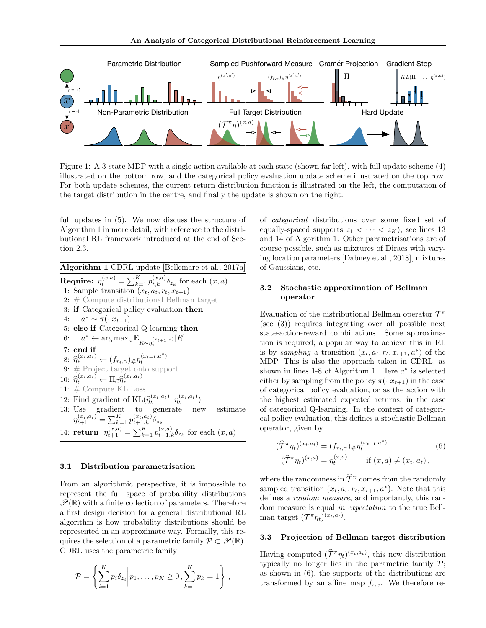

Figure 1: A 3-state MDP with a single action available at each state (shown far left), with full update scheme (4) illustrated on the bottom row, and the categorical policy evaluation update scheme illustrated on the top row. For both update schemes, the current return distribution function is illustrated on the left, the computation of the target distribution in the centre, and finally the update is shown on the right.

full updates in (5). We now discuss the structure of Algorithm 1 in more detail, with reference to the distributional RL framework introduced at the end of Section 2.3.

Algorithm 1 CDRL update [Bellemare et al., 2017a] **Require:**  $\eta_t^{(x,a)} = \sum_{k=1}^K p_{t,k}^{(x,a)} \delta_{z_k}$  for each  $(x, a)$ 1: Sample transition  $(x_t, a_t, r_t, x_{t+1})$ 2: # Compute distributional Bellman target 3: if Categorical policy evaluation then 4:  $a^* \sim \pi(\cdot|x_{t+1})$ 5: else if Categorical Q-learning then 6:  $a^* \leftarrow \arg \max_a \mathbb{E}_{R \sim \eta_t^{(x_{t+1},a)}}[R]$ 7: end if 8:  $\widehat{\eta}_*^{(x_t, a_t)} \leftarrow (f_{r_t, \gamma}) \# \eta_t^{(x_{t+1}, a^*)}$ 9: # Project target onto support 10:  $\hat{\eta}_t^{(x_t, a_t)} \leftarrow \Pi_{\mathcal{C}} \hat{\eta}_*^{(x_t, a_t)}$ ∗ 11: # Compute KL Loss 12: Find gradient of  $KL(\hat{\eta}_t^{(x_t, a_t)} || \eta_t^{(x_t, a_t)})$ 13: Use gradient to generate new estimate  $\eta_{t+1}^{(x_t,a_t)} = \sum_{k=1}^K p_{t+1,k}^{(x_t,a_t)} \delta_{z_k}$ 14: **return**  $\eta_{t+1}^{(x,a)} = \sum_{k=1}^{K} p_{t+1,k}^{(x,a)} \delta_{z_k}$  for each  $(x, a)$ 

#### 3.1 Distribution parametrisation

From an algorithmic perspective, it is impossible to represent the full space of probability distributions  $\mathscr{P}(\mathbb{R})$  with a finite collection of parameters. Therefore a first design decision for a general distributional RL algorithm is how probability distributions should be represented in an approximate way. Formally, this requires the selection of a parametric family  $\mathcal{P} \subset \mathcal{P}(\mathbb{R})$ . CDRL uses the parametric family

$$
\mathcal{P} = \left\{ \sum_{i=1}^{K} p_i \delta_{z_i} \middle| p_1, \dots, p_K \ge 0, \sum_{k=1}^{K} p_k = 1 \right\},\,
$$

of categorical distributions over some fixed set of equally-spaced supports  $z_1 < \cdots < z_K$ ; see lines 13 and 14 of Algorithm 1. Other parametrisations are of course possible, such as mixtures of Diracs with varying location parameters [Dabney et al., 2018], mixtures of Gaussians, etc.

### 3.2 Stochastic approximation of Bellman operator

Evaluation of the distributional Bellman operator  $\mathcal{T}^{\pi}$ (see (3)) requires integrating over all possible next state-action-reward combinations. Some approximation is required; a popular way to achieve this in RL is by sampling a transition  $(x_t, a_t, r_t, x_{t+1}, a^*)$  of the MDP. This is also the approach taken in CDRL, as shown in lines 1-8 of Algorithm 1. Here  $a^*$  is selected either by sampling from the policy  $\pi(\cdot|x_{t+1})$  in the case of categorical policy evaluation, or as the action with the highest estimated expected returns, in the case of categorical Q-learning. In the context of categorical policy evaluation, this defines a stochastic Bellman operator, given by

$$
(\hat{\mathcal{T}}^{\pi} \eta_t)^{(x_t, a_t)} = (f_{r_t, \gamma}) \# \eta_t^{(x_{t+1}, a^*)},
$$
  

$$
(\hat{\mathcal{T}}^{\pi} \eta_t)^{(x, a)} = \eta_t^{(x, a)} \quad \text{if } (x, a) \neq (x_t, a_t),
$$
 (6)

where the randomness in  $\hat{\mathcal{T}}^{\pi}$  comes from the randomly sampled transition  $(x_t, a_t, r_t, x_{t+1}, a^*)$ . Note that this defines a random measure, and importantly, this random measure is equal in expectation to the true Bellman target  $(\mathcal{T}^{\pi} \eta_t)^{(x_t, a_t)}$ .

#### 3.3 Projection of Bellman target distribution

Having computed  $(\widetilde{\mathcal{T}}^{\pi} \eta_t)^{(x_t, a_t)}$ , this new distribution typically no longer lies in the parametric family  $\mathcal{P}$ ; as shown in (6), the supports of the distributions are transformed by an affine map  $f_{r,\gamma}$ . We therefore re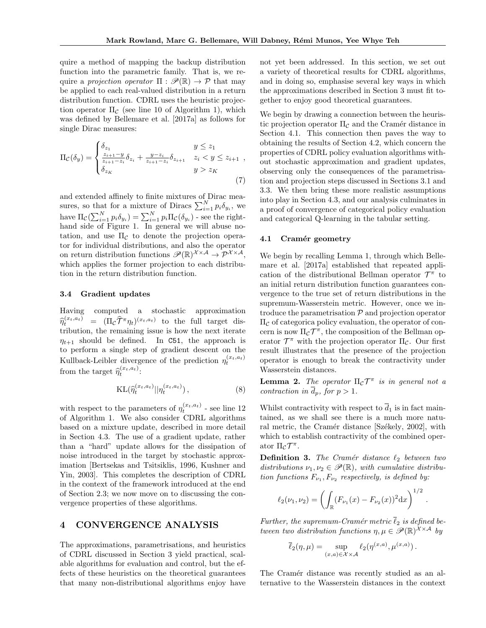quire a method of mapping the backup distribution function into the parametric family. That is, we require a projection operator  $\Pi : \mathscr{P}(\mathbb{R}) \to \mathcal{P}$  that may be applied to each real-valued distribution in a return distribution function. CDRL uses the heuristic projection operator  $\Pi_{\mathcal{C}}$  (see line 10 of Algorithm 1), which was defined by Bellemare et al. [2017a] as follows for single Dirac measures:

$$
\Pi_{\mathcal{C}}(\delta_y) = \begin{cases} \delta_{z_1} & y \le z_1 \\ \frac{z_{i+1}-y}{z_{i+1}-z_i} \delta_{z_i} + \frac{y-z_i}{z_{i+1}-z_i} \delta_{z_{i+1}} & z_i < y \le z_{i+1} \\ \delta_{z_K} & y > z_K \end{cases} (7)
$$

and extended affinely to finite mixtures of Dirac measures, so that for a mixture of Diracs  $\sum_{i=1}^{N} p_i \delta_{y_i}$ , we have  $\Pi_{\mathcal{C}}(\sum_{i=1}^N p_i \delta_{y_i}) = \sum_{i=1}^N p_i \Pi_{\mathcal{C}}(\delta_{y_i})$  - see the righthand side of Figure 1. In general we will abuse notation, and use  $\Pi_{\mathcal{C}}$  to denote the projection operator for individual distributions, and also the operator on return distribution functions  $\mathscr{P}(\mathbb{R})^{\mathcal{X}\times\mathcal{A}} \to \mathcal{P}^{\mathcal{X}\times\mathcal{A}},$ which applies the former projection to each distribution in the return distribution function.

#### 3.4 Gradient updates

Having computed a stochastic approximation  $\widehat{\eta}_t^{(x_t,a_t)} = (\Pi_c \widehat{\mathcal{T}}^{\pi} \eta_t)^{(x_t,a_t)}$  to the full target distribution, the remaining issue is how the next iterate  $\eta_{t+1}$  should be defined. In C51, the approach is to perform a single step of gradient descent on the Kullback-Leibler divergence of the prediction  $\eta_t^{(x_t, a_t)}$ from the target  $\widehat{\eta}_t^{(x_t, a_t)}$ :

$$
KL(\hat{\eta}_t^{(x_t, a_t)} || \eta_t^{(x_t, a_t)}), \qquad (8)
$$

with respect to the parameters of  $\eta_t^{(x_t, a_t)}$  - see line 12 of Algorithm 1. We also consider CDRL algorithms based on a mixture update, described in more detail in Section 4.3. The use of a gradient update, rather than a "hard" update allows for the dissipation of noise introduced in the target by stochastic approximation [Bertsekas and Tsitsiklis, 1996, Kushner and Yin, 2003]. This completes the description of CDRL in the context of the framework introduced at the end of Section 2.3; we now move on to discussing the convergence properties of these algorithms.

## 4 CONVERGENCE ANALYSIS

The approximations, parametrisations, and heuristics of CDRL discussed in Section 3 yield practical, scalable algorithms for evaluation and control, but the effects of these heuristics on the theoretical guarantees that many non-distributional algorithms enjoy have not yet been addressed. In this section, we set out a variety of theoretical results for CDRL algorithms, and in doing so, emphasise several key ways in which the approximations described in Section 3 must fit together to enjoy good theoretical guarantees.

We begin by drawing a connection between the heuristic projection operator  $\Pi_{\mathcal{C}}$  and the Cramér distance in Section 4.1. This connection then paves the way to obtaining the results of Section 4.2, which concern the properties of CDRL policy evaluation algorithms without stochastic approximation and gradient updates, observing only the consequences of the parametrisation and projection steps discussed in Sections 3.1 and 3.3. We then bring these more realistic assumptions into play in Section 4.3, and our analysis culminates in a proof of convergence of categorical policy evaluation and categorical Q-learning in the tabular setting.

#### 4.1 Cramér geometry

We begin by recalling Lemma 1, through which Bellemare et al. [2017a] established that repeated application of the distributional Bellman operator  $\mathcal{T}^{\pi}$  to an initial return distribution function guarantees convergence to the true set of return distributions in the supremum-Wasserstein metric. However, once we introduce the parametrisation  $P$  and projection operator  $\Pi_{\mathcal{C}}$  of categorica policy evaluation, the operator of concern is now  $\Pi_{\mathcal{C}}\mathcal{T}^{\pi}$ , the composition of the Bellman operator  $\mathcal{T}^{\pi}$  with the projection operator  $\Pi_{\mathcal{C}}$ . Our first result illustrates that the presence of the projection operator is enough to break the contractivity under Wasserstein distances.

**Lemma 2.** The operator  $\Pi_{\mathcal{C}} \mathcal{T}^{\pi}$  is in general not a contraction in  $\overline{d}_p$ , for  $p > 1$ .

Whilst contractivity with respect to  $\overline{d}_1$  is in fact maintained, as we shall see there is a much more natural metric, the Cramér distance [Székely, 2002], with which to establish contractivity of the combined operator  $\Pi_{\mathcal{C}} \mathcal{T}^{\pi}$ .

**Definition 3.** The Cramér distance  $\ell_2$  between two distributions  $\nu_1, \nu_2 \in \mathscr{P}(\mathbb{R})$ , with cumulative distribution functions  $F_{\nu_1}, F_{\nu_2}$  respectively, is defined by:

$$
\ell_2(\nu_1, \nu_2) = \left( \int_{\mathbb{R}} (F_{\nu_1}(x) - F_{\nu_2}(x))^2 dx \right)^{1/2}
$$

.

Further, the supremum-Cramér metric  $\overline{\ell}_2$  is defined between two distribution functions  $\eta, \mu \in \mathscr{P}(\mathbb{R})^{\mathcal{X} \times \mathcal{A}}$  by

$$
\overline{\ell}_2(\eta,\mu) = \sup_{(x,a)\in\mathcal{X}\times\mathcal{A}} \ell_2(\eta^{(x,a)},\mu^{(x,a)})\,.
$$

The Cramér distance was recently studied as an alternative to the Wasserstein distances in the context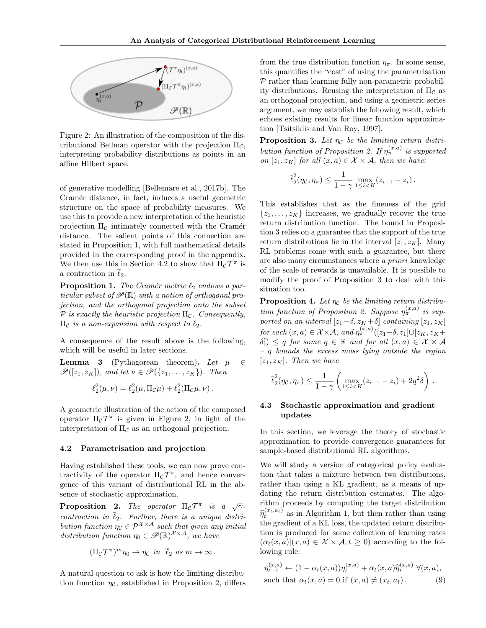

Figure 2: An illustration of the composition of the distributional Bellman operator with the projection  $\Pi_{\mathcal{C}}$ , interpreting probability distributions as points in an affine Hilbert space.

of generative modelling [Bellemare et al., 2017b]. The Cramér distance, in fact, induces a useful geometric structure on the space of probability measures. We use this to provide a new interpretation of the heuristic projection  $\Pi_{\mathcal{C}}$  intimately connected with the Cramér distance. The salient points of this connection are stated in Proposition 1, with full mathematical details provided in the corresponding proof in the appendix. We then use this in Section 4.2 to show that  $\Pi_{\mathcal{C}} \mathcal{T}^{\pi}$  is a contraction in  $\overline{\ell}_2$ .

**Proposition 1.** The Cramér metric  $\ell_2$  endows a particular subset of  $\mathscr{P}(\mathbb{R})$  with a notion of orthogonal projection, and the orthogonal projection onto the subset P is exactly the heuristic projection  $\Pi_c$ . Consequently,  $\Pi_{\mathcal{C}}$  is a non-expansion with respect to  $\ell_2$ .

A consequence of the result above is the following, which will be useful in later sections.

**Lemma 3** (Pythagorean theorem). Let  $\mu \in$  $\mathscr{P}([z_1, z_K])$ , and let  $\nu \in \mathscr{P}(\{z_1, \ldots, z_K\})$ . Then

$$
\ell_2^2(\mu,\nu) = \ell_2^2(\mu,\Pi_{\mathcal{C}}\mu) + \ell_2^2(\Pi_{\mathcal{C}}\mu,\nu).
$$

A geometric illustration of the action of the composed operator  $\Pi_{\mathcal{C}} \mathcal{T}^{\pi}$  is given in Figure 2, in light of the interpretation of  $\Pi_{\mathcal{C}}$  as an orthogonal projection.

#### 4.2 Parametrisation and projection

Having established these tools, we can now prove contractivity of the operator  $\Pi_{\mathcal{C}} \mathcal{T}^{\pi}$ , and hence convergence of this variant of distributional RL in the absence of stochastic approximation.

**Proposition 2.** The operator  $\Pi_{\mathcal{C}} \mathcal{T}^{\pi}$  is a  $\sqrt{\gamma}$ contraction in  $\overline{\ell}_2$ . Further, there is a unique distribution function  $\eta_c \in \mathcal{P}^{\mathcal{X} \times \mathcal{A}}$  such that given any initial distribution function  $\eta_0 \in \mathscr{P}(\mathbb{R})^{\mathcal{X} \times \mathcal{A}}$ , we have

$$
(\Pi_{\mathcal{C}}\mathcal{T}^{\pi})^m\eta_0 \to \eta_{\mathcal{C}}\ \ \text{in}\ \ \overline{\ell}_2\ \ \text{as}\ \ m \to \infty\,.
$$

A natural question to ask is how the limiting distribution function  $\eta_c$ , established in Proposition 2, differs

from the true distribution function  $\eta_{\pi}$ . In some sense, this quantifies the "cost" of using the parametrisation  $P$  rather than learning fully non-parametric probability distributions. Reusing the interpretation of  $\Pi_{\mathcal{C}}$  as an orthogonal projection, and using a geometric series argument, we may establish the following result, which echoes existing results for linear function approximation [Tsitsiklis and Van Roy, 1997].

**Proposition 3.** Let  $\eta_c$  be the limiting return distribution function of Proposition 2. If  $\eta_{\pi}^{(x,a)}$  is supported on  $[z_1, z_K]$  for all  $(x, a) \in \mathcal{X} \times \mathcal{A}$ , then we have:

$$
\overline{\ell}_2^2(\eta_{\mathcal{C}}, \eta_{\pi}) \leq \frac{1}{1-\gamma} \max_{1 \leq i < K} (z_{i+1} - z_i).
$$

This establishes that as the fineness of the grid  $\{z_1, \ldots, z_K\}$  increases, we gradually recover the true return distribution function. The bound in Proposition 3 relies on a guarantee that the support of the true return distributions lie in the interval  $[z_1, z_K]$ . Many RL problems come with such a guarantee, but there are also many circumstances where a priori knowledge of the scale of rewards is unavailable. It is possible to modify the proof of Proposition 3 to deal with this situation too.

**Proposition 4.** Let  $\eta_c$  be the limiting return distribution function of Proposition 2. Suppose  $\eta_{\pi}^{(x,a)}$  is supported on an interval  $[z_1-\delta, z_K+\delta]$  containing  $[z_1, z_K]$ for each  $(x, a) \in \mathcal{X} \times \mathcal{A}$ , and  $\eta_{\pi}^{(x,a)}([z_1-\delta, z_1] \cup [z_K, z_K+\delta]$  $\delta$ )  $\leq$  q for some  $q \in \mathbb{R}$  and for all  $(x, a) \in \mathcal{X} \times \mathcal{A}$ – q bounds the excess mass lying outside the region  $[z_1, z_K]$ . Then we have

$$
\overline{\ell}_2^2(\eta_{\mathcal{C}}, \eta_{\pi}) \le \frac{1}{1-\gamma} \left( \max_{1 \le i < K} (z_{i+1} - z_i) + 2q^2 \delta \right).
$$

#### 4.3 Stochastic approximation and gradient updates

In this section, we leverage the theory of stochastic approximation to provide convergence guarantees for sample-based distributional RL algorithms.

We will study a version of categorical policy evaluation that takes a mixture between two distributions, rather than using a KL gradient, as a means of updating the return distribution estimates. The algorithm proceeds by computing the target distribution  $\hat{\eta}_t^{(x_t, a_t)}$  as in Algorithm 1, but then rather than using the gradient of a KL loss, the updated return distribution is produced for some collection of learning rates  $(\alpha_t(x, a) | (x, a) \in \mathcal{X} \times \mathcal{A}, t \geq 0)$  according to the following rule:

$$
\eta_{t+1}^{(x,a)} \leftarrow (1 - \alpha_t(x,a)) \eta_t^{(x,a)} + \alpha_t(x,a) \widehat{\eta}_t^{(x,a)} \ \forall (x,a),
$$
\nsuch that

\n
$$
\alpha_t(x,a) = 0 \text{ if } (x,a) \neq (x_t,a_t). \tag{9}
$$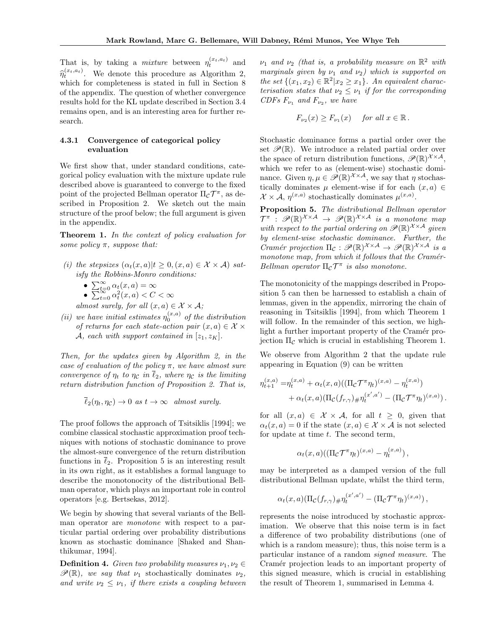That is, by taking a *mixture* between  $\eta_t^{(x_t, a_t)}$  and  $\hat{\eta}_t^{(x_t, a_t)}$ . We denote this procedure as Algorithm 2, which for completeness is stated in full in Section 8 of the appendix. The question of whether convergence results hold for the KL update described in Section 3.4 remains open, and is an interesting area for further research.

## 4.3.1 Convergence of categorical policy evaluation

We first show that, under standard conditions, categorical policy evaluation with the mixture update rule described above is guaranteed to converge to the fixed point of the projected Bellman operator  $\Pi_{\mathcal{C}}\mathcal{T}^\pi$ , as described in Proposition 2. We sketch out the main structure of the proof below; the full argument is given in the appendix.

Theorem 1. In the context of policy evaluation for some policy  $\pi$ , suppose that:

- (i) the stepsizes  $(\alpha_t(x, a)|t \geq 0, (x, a) \in \mathcal{X} \times \mathcal{A})$  satisfy the Robbins-Monro conditions:
	- $\sum_{t=0}^{\infty} \alpha_t(x, a) = \infty$
	- $\sum_{t=0}^{\infty} \alpha_t^2(x, a) < C < \infty$

almost surely, for all  $(x, a) \in \mathcal{X} \times \mathcal{A}$ ;

(ii) we have initial estimates  $\eta_0^{(x,a)}$  of the distribution of returns for each state-action pair  $(x, a) \in \mathcal{X} \times$ A, each with support contained in  $[z_1, z_K]$ .

Then, for the updates given by Algorithm 2, in the case of evaluation of the policy  $\pi$ , we have almost sure convergence of  $\eta_t$  to  $\eta_c$  in  $\overline{\ell}_2$ , where  $\eta_c$  is the limiting return distribution function of Proposition 2. That is,

$$
\overline{\ell}_2(\eta_t, \eta_c) \to 0 \text{ as } t \to \infty \text{ almost surely.}
$$

The proof follows the approach of Tsitsiklis [1994]; we combine classical stochastic approximation proof techniques with notions of stochastic dominance to prove the almost-sure convergence of the return distribution functions in  $\ell_2$ . Proposition 5 is an interesting result in its own right, as it establishes a formal language to describe the monotonocity of the distributional Bellman operator, which plays an important role in control operators [e.g. Bertsekas, 2012].

We begin by showing that several variants of the Bellman operator are monotone with respect to a particular partial ordering over probability distributions known as stochastic dominance [Shaked and Shanthikumar, 1994].

**Definition 4.** Given two probability measures  $\nu_1, \nu_2 \in$  $\mathscr{P}(\mathbb{R})$ , we say that  $\nu_1$  stochastically dominates  $\nu_2$ , and write  $\nu_2 \leq \nu_1$ , if there exists a coupling between  $\nu_1$  and  $\nu_2$  (that is, a probability measure on  $\mathbb{R}^2$  with marginals given by  $\nu_1$  and  $\nu_2$ ) which is supported on the set  $\{(x_1, x_2) \in \mathbb{R}^2 | x_2 \ge x_1\}$ . An equivalent characterisation states that  $\nu_2 \leq \nu_1$  if for the corresponding CDFs  $F_{\nu_1}$  and  $F_{\nu_2}$ , we have

$$
F_{\nu_2}(x) \ge F_{\nu_1}(x) \quad \text{ for all } x \in \mathbb{R}.
$$

Stochastic dominance forms a partial order over the set  $\mathscr{P}(\mathbb{R})$ . We introduce a related partial order over the space of return distribution functions,  $\mathscr{P}(\mathbb{R})^{\mathcal{X}\times\mathcal{A}},$ which we refer to as (element-wise) stochastic dominance. Given  $\eta, \mu \in \mathscr{P}(\mathbb{R})^{\mathcal{X} \times \mathcal{A}}$ , we say that  $\eta$  stochastically dominates  $\mu$  element-wise if for each  $(x, a) \in$  $\mathcal{X} \times \mathcal{A}, \eta^{(x,a)}$  stochastically dominates  $\mu^{(x,a)}$ .

Proposition 5. The distributional Bellman operator  $\mathcal{T}^{\pi}$  :  $\mathscr{P}(\mathbb{R})^{\mathcal{X}\times\mathcal{A}} \rightarrow \mathscr{P}(\mathbb{R})^{\mathcal{X}\times\mathcal{A}}$  is a monotone map with respect to the partial ordering on  $\mathscr{P}(\mathbb{R})^{\mathcal{X}\times\mathcal{A}}$  given by element-wise stochastic dominance. Further, the Cramér projection  $\Pi_{\mathcal{C}} : \mathscr{P}(\mathbb{R})^{\mathcal{X} \times \mathcal{A}} \to \mathscr{P}(\mathbb{R})^{\mathcal{X} \times \mathcal{A}}$  is a monotone map, from which it follows that the Cramér-Bellman operator  $\Pi_{\mathcal{C}}\mathcal{T}^{\pi}$  is also monotone.

The monotonicity of the mappings described in Proposition 5 can then be harnessed to establish a chain of lemmas, given in the appendix, mirroring the chain of reasoning in Tsitsiklis [1994], from which Theorem 1 will follow. In the remainder of this section, we highlight a further important property of the Cramér projection  $\Pi_{\mathcal{C}}$  which is crucial in establishing Theorem 1.

We observe from Algorithm 2 that the update rule appearing in Equation (9) can be written

$$
\eta_{t+1}^{(x,a)} = \eta_t^{(x,a)} + \alpha_t(x,a) ((\Pi_{\mathcal{C}} \mathcal{T}^{\pi} \eta_t)^{(x,a)} - \eta_t^{(x,a)}) + \alpha_t(x,a) (\Pi_{\mathcal{C}} (f_{r,\gamma}) \# \eta_t^{(x',a')} - (\Pi_{\mathcal{C}} \mathcal{T}^{\pi} \eta_t)^{(x,a)}).
$$

for all  $(x, a) \in \mathcal{X} \times \mathcal{A}$ , for all  $t \geq 0$ , given that  $\alpha_t(x, a) = 0$  if the state  $(x, a) \in \mathcal{X} \times \mathcal{A}$  is not selected for update at time  $t$ . The second term,

$$
\alpha_t(x,a)((\Pi_{\mathcal{C}}\mathcal{T}^{\pi}\eta_t)^{(x,a)}-\eta_t^{(x,a)}),
$$

may be interpreted as a damped version of the full distributional Bellman update, whilst the third term,

$$
\alpha_t(x,a) \left( \Pi_{\mathcal{C}}(f_{r,\gamma}) \# \eta_t^{(x',a')} - (\Pi_{\mathcal{C}} \mathcal{T}^\pi \eta_t)^{(x,a)} \right),
$$

represents the noise introduced by stochastic approximation. We observe that this noise term is in fact a difference of two probability distributions (one of which is a random measure); thus, this noise term is a particular instance of a random signed measure. The Cramér projection leads to an important property of this signed measure, which is crucial in establishing the result of Theorem 1, summarised in Lemma 4.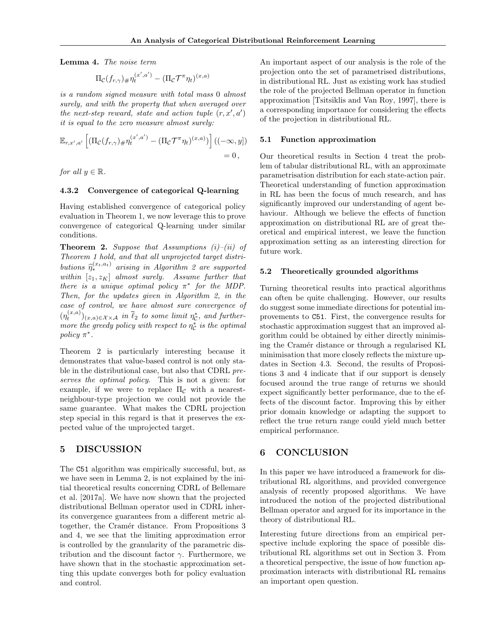Lemma 4. The noise term

$$
\Pi_{\mathcal{C}}(f_{r,\gamma}) \# \eta_t^{(x',a')} - (\Pi_{\mathcal{C}} \mathcal{T}^\pi \eta_t)^{(x,a)}
$$

is a random signed measure with total mass 0 almost surely, and with the property that when averaged over the next-step reward, state and action tuple  $(r, x', a')$ it is equal to the zero measure almost surely:

$$
\mathbb{E}_{r,x',a'}\left[ (\Pi_{\mathcal{C}}(f_{r,\gamma})_{\#} \eta_t^{(x',a')} - (\Pi_{\mathcal{C}} \mathcal{T}^{\pi} \eta_t)^{(x,a)}) \right] ((-\infty, y]) = 0,
$$

for all  $y \in \mathbb{R}$ .

#### 4.3.2 Convergence of categorical Q-learning

Having established convergence of categorical policy evaluation in Theorem 1, we now leverage this to prove convergence of categorical Q-learning under similar conditions.

**Theorem 2.** Suppose that Assumptions  $(i)$ – $(ii)$  of Theorem 1 hold, and that all unprojected target distributions  $\hat{\eta}_*^{(x_t,a_t)}$  arising in Algorithm 2 are supported<br>within  $[x_t, x_t]$  algorithm Assume further that within  $[z_1, z_K]$  almost surely. Assume further that there is a unique optimal policy  $\pi^*$  for the MDP. Then, for the updates given in Algorithm 2, in the case of control, we have almost sure convergence of  $(\eta_t^{(x,a)})_{(x,a)\in\mathcal{X}\times\mathcal{A}}$  in  $\overline{\ell}_2$  to some limit  $\eta_c^*$ , and furthermore the greedy policy with respect to  $\eta_c^*$  is the optimal policy  $\pi^*$ .

Theorem 2 is particularly interesting because it demonstrates that value-based control is not only stable in the distributional case, but also that CDRL preserves the optimal policy. This is not a given: for example, if we were to replace  $\Pi_{\mathcal{C}}$  with a nearestneighbour-type projection we could not provide the same guarantee. What makes the CDRL projection step special in this regard is that it preserves the expected value of the unprojected target.

#### 5 DISCUSSION

The C51 algorithm was empirically successful, but, as we have seen in Lemma 2, is not explained by the initial theoretical results concerning CDRL of Bellemare et al. [2017a]. We have now shown that the projected distributional Bellman operator used in CDRL inherits convergence guarantees from a different metric altogether, the Cramér distance. From Propositions 3 and 4, we see that the limiting approximation error is controlled by the granularity of the parametric distribution and the discount factor  $\gamma$ . Furthermore, we have shown that in the stochastic approximation setting this update converges both for policy evaluation and control.

An important aspect of our analysis is the role of the projection onto the set of parametrised distributions, in distributional RL. Just as existing work has studied the role of the projected Bellman operator in function approximation [Tsitsiklis and Van Roy, 1997], there is a corresponding importance for considering the effects of the projection in distributional RL.

#### 5.1 Function approximation

Our theoretical results in Section 4 treat the problem of tabular distributional RL, with an approximate parametrisation distribution for each state-action pair. Theoretical understanding of function approximation in RL has been the focus of much research, and has significantly improved our understanding of agent behaviour. Although we believe the effects of function approximation on distributional RL are of great theoretical and empirical interest, we leave the function approximation setting as an interesting direction for future work.

#### 5.2 Theoretically grounded algorithms

Turning theoretical results into practical algorithms can often be quite challenging. However, our results do suggest some immediate directions for potential improvements to C51. First, the convergence results for stochastic approximation suggest that an improved algorithm could be obtained by either directly minimising the Cramér distance or through a regularised KL minimisation that more closely reflects the mixture updates in Section 4.3. Second, the results of Propositions 3 and 4 indicate that if our support is densely focused around the true range of returns we should expect significantly better performance, due to the effects of the discount factor. Improving this by either prior domain knowledge or adapting the support to reflect the true return range could yield much better empirical performance.

## 6 CONCLUSION

In this paper we have introduced a framework for distributional RL algorithms, and provided convergence analysis of recently proposed algorithms. We have introduced the notion of the projected distributional Bellman operator and argued for its importance in the theory of distributional RL.

Interesting future directions from an empirical perspective include exploring the space of possible distributional RL algorithms set out in Section 3. From a theoretical perspective, the issue of how function approximation interacts with distributional RL remains an important open question.